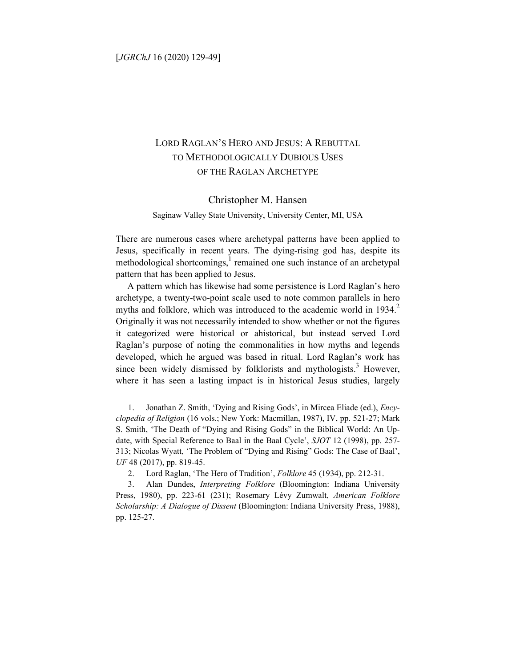# LORD RAGLAN'S HERO AND JESUS: A REBUTTAL TO METHODOLOGICALLY DUBIOUS USES OF THE RAGLAN ARCHETYPE

## Christopher M. Hansen

### Saginaw Valley State University, University Center, MI, USA

There are numerous cases where archetypal patterns have been applied to Jesus, specifically in recent years. The dying-rising god has, despite its methodological shortcomings, $<sup>1</sup>$  remained one such instance of an archetypal</sup> pattern that has been applied to Jesus.

 A pattern which has likewise had some persistence is Lord Raglan's hero archetype, a twenty-two-point scale used to note common parallels in hero myths and folklore, which was introduced to the academic world in  $1934<sup>2</sup>$ Originally it was not necessarily intended to show whether or not the figures it categorized were historical or ahistorical, but instead served Lord Raglan's purpose of noting the commonalities in how myths and legends developed, which he argued was based in ritual. Lord Raglan's work has since been widely dismissed by folklorists and mythologists.<sup>3</sup> However, where it has seen a lasting impact is in historical Jesus studies, largely

1. Jonathan Z. Smith, 'Dying and Rising Gods', in Mircea Eliade (ed.), *Encyclopedia of Religion* (16 vols.; New York: Macmillan, 1987), IV, pp. 521-27; Mark S. Smith, 'The Death of "Dying and Rising Gods" in the Biblical World: An Update, with Special Reference to Baal in the Baal Cycle', *SJOT* 12 (1998), pp. 257- 313; Nicolas Wyatt, 'The Problem of "Dying and Rising" Gods: The Case of Baal', *UF* 48 (2017), pp. 819-45.

2. Lord Raglan, 'The Hero of Tradition', *Folklore* 45 (1934), pp. 212-31.

3. Alan Dundes, *Interpreting Folklore* (Bloomington: Indiana University Press, 1980), pp. 223-61 (231); Rosemary Lévy Zumwalt, *American Folklore Scholarship: A Dialogue of Dissent* (Bloomington: Indiana University Press, 1988), pp. 125-27.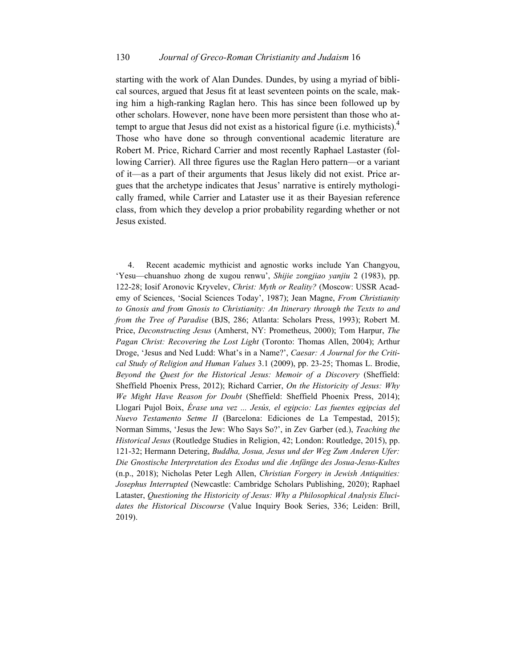starting with the work of Alan Dundes. Dundes, by using a myriad of biblical sources, argued that Jesus fit at least seventeen points on the scale, making him a high-ranking Raglan hero. This has since been followed up by other scholars. However, none have been more persistent than those who attempt to argue that Jesus did not exist as a historical figure (i.e. mythicists).<sup>4</sup> Those who have done so through conventional academic literature are Robert M. Price, Richard Carrier and most recently Raphael Lastaster (following Carrier). All three figures use the Raglan Hero pattern—or a variant of it—as a part of their arguments that Jesus likely did not exist. Price argues that the archetype indicates that Jesus' narrative is entirely mythologically framed, while Carrier and Lataster use it as their Bayesian reference class, from which they develop a prior probability regarding whether or not Jesus existed.

4. Recent academic mythicist and agnostic works include Yan Changyou, 'Yesu—chuanshuo zhong de xugou renwu', *Shijie zongjiao yanjiu* 2 (1983), pp. 122-28; Iosif Aronovic Kryvelev, *Christ: Myth or Reality?* (Moscow: USSR Academy of Sciences, 'Social Sciences Today', 1987); Jean Magne, *From Christianity to Gnosis and from Gnosis to Christianity: An Itinerary through the Texts to and from the Tree of Paradise* (BJS, 286; Atlanta: Scholars Press, 1993); Robert M. Price, *Deconstructing Jesus* (Amherst, NY: Prometheus, 2000); Tom Harpur, *The Pagan Christ: Recovering the Lost Light* (Toronto: Thomas Allen, 2004); Arthur Droge, 'Jesus and Ned Ludd: What's in a Name?', *Caesar: A Journal for the Critical Study of Religion and Human Values* 3.1 (2009), pp. 23-25; Thomas L. Brodie, *Beyond the Quest for the Historical Jesus: Memoir of a Discovery* (Sheffield: Sheffield Phoenix Press, 2012); Richard Carrier, *On the Historicity of Jesus: Why We Might Have Reason for Doubt* (Sheffield: Sheffield Phoenix Press, 2014); Llogarí Pujol Boix, *Érase una vez ... Jesús, el egipcio: Las fuentes egipcias del Nuevo Testamento Setme II* (Barcelona: Ediciones de La Tempestad, 2015); Norman Simms, 'Jesus the Jew: Who Says So?', in Zev Garber (ed.), *Teaching the Historical Jesus* (Routledge Studies in Religion, 42; London: Routledge, 2015), pp. 121-32; Hermann Detering, *Buddha, Josua, Jesus und der Weg Zum Anderen Ufer: Die Gnostische Interpretation des Exodus und die Anfänge des Josua-Jesus-Kultes* (n.p., 2018); Nicholas Peter Legh Allen, *Christian Forgery in Jewish Antiquities: Josephus Interrupted* (Newcastle: Cambridge Scholars Publishing, 2020); Raphael Lataster, *Questioning the Historicity of Jesus: Why a Philosophical Analysis Elucidates the Historical Discourse* (Value Inquiry Book Series, 336; Leiden: Brill, 2019).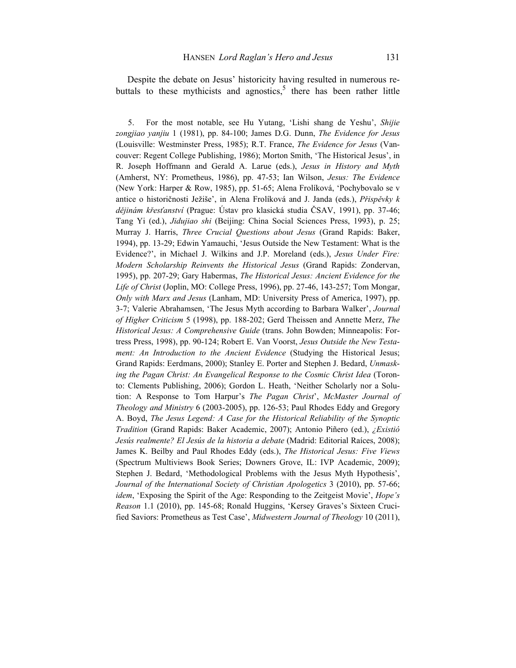Despite the debate on Jesus' historicity having resulted in numerous rebuttals to these mythicists and agnostics,<sup>5</sup> there has been rather little

5. For the most notable, see Hu Yutang, 'Lishi shang de Yeshu', *Shijie zongjiao yanjiu* 1 (1981), pp. 84-100; James D.G. Dunn, *The Evidence for Jesus*  (Louisville: Westminster Press, 1985); R.T. France, *The Evidence for Jesus* (Vancouver: Regent College Publishing, 1986); Morton Smith, 'The Historical Jesus', in R. Joseph Hoffmann and Gerald A. Larue (eds.), *Jesus in History and Myth*  (Amherst, NY: Prometheus, 1986), pp. 47-53; Ian Wilson, *Jesus: The Evidence*  (New York: Harper & Row, 1985), pp. 51-65; Alena Frolíková, 'Pochybovalo se v antice o historičnosti Ježiše', in Alena Frolíková and J. Janda (eds.), *Přispěvky k dějinám křesťanství* (Prague: Ústav pro klasická studia ČSAV, 1991), pp. 37-46; Tang Yi (ed.), *Jidujiao shi* (Beijing: China Social Sciences Press, 1993), p. 25; Murray J. Harris, *Three Crucial Questions about Jesus* (Grand Rapids: Baker, 1994), pp. 13-29; Edwin Yamauchi, 'Jesus Outside the New Testament: What is the Evidence?', in Michael J. Wilkins and J.P. Moreland (eds.), *Jesus Under Fire: Modern Scholarship Reinvents the Historical Jesus* (Grand Rapids: Zondervan, 1995), pp. 207-29; Gary Habermas, *The Historical Jesus: Ancient Evidence for the Life of Christ* (Joplin, MO: College Press, 1996), pp. 27-46, 143-257; Tom Mongar, *Only with Marx and Jesus* (Lanham, MD: University Press of America, 1997), pp. 3-7; Valerie Abrahamsen, 'The Jesus Myth according to Barbara Walker', *Journal of Higher Criticism* 5 (1998), pp. 188-202; Gerd Theissen and Annette Merz, *The Historical Jesus: A Comprehensive Guide* (trans. John Bowden; Minneapolis: Fortress Press, 1998), pp. 90-124; Robert E. Van Voorst, *Jesus Outside the New Testament: An Introduction to the Ancient Evidence* (Studying the Historical Jesus; Grand Rapids: Eerdmans, 2000); Stanley E. Porter and Stephen J. Bedard, *Unmasking the Pagan Christ: An Evangelical Response to the Cosmic Christ Idea* (Toronto: Clements Publishing, 2006); Gordon L. Heath, 'Neither Scholarly nor a Solution: A Response to Tom Harpur's *The Pagan Christ*', *McMaster Journal of Theology and Ministry* 6 (2003-2005), pp. 126-53; Paul Rhodes Eddy and Gregory A. Boyd, *The Jesus Legend: A Case for the Historical Reliability of the Synoptic Tradition* (Grand Rapids: Baker Academic, 2007); Antonio Piñero (ed.), *¿Existió Jesús realmente? El Jesús de la historia a debate* (Madrid: Editorial Raíces, 2008); James K. Beilby and Paul Rhodes Eddy (eds.), *The Historical Jesus: Five Views*  (Spectrum Multiviews Book Series; Downers Grove, IL: IVP Academic, 2009); Stephen J. Bedard, 'Methodological Problems with the Jesus Myth Hypothesis', *Journal of the International Society of Christian Apologetics* 3 (2010), pp. 57-66; *idem*, 'Exposing the Spirit of the Age: Responding to the Zeitgeist Movie', *Hope's Reason* 1.1 (2010), pp. 145-68; Ronald Huggins, 'Kersey Graves's Sixteen Crucified Saviors: Prometheus as Test Case', *Midwestern Journal of Theology* 10 (2011),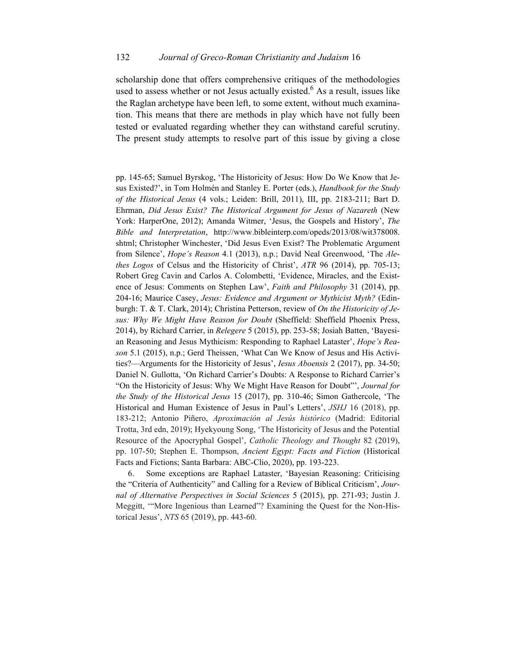### 132 *Journal of Greco-Roman Christianity and Judaism* 16

scholarship done that offers comprehensive critiques of the methodologies used to assess whether or not Jesus actually existed.<sup>6</sup> As a result, issues like the Raglan archetype have been left, to some extent, without much examination. This means that there are methods in play which have not fully been tested or evaluated regarding whether they can withstand careful scrutiny. The present study attempts to resolve part of this issue by giving a close

pp. 145-65; Samuel Byrskog, 'The Historicity of Jesus: How Do We Know that Jesus Existed?', in Tom Holmén and Stanley E. Porter (eds.), *Handbook for the Study of the Historical Jesus* (4 vols.; Leiden: Brill, 2011), III, pp. 2183-211; Bart D. Ehrman, *Did Jesus Exist? The Historical Argument for Jesus of Nazareth* (New York: HarperOne, 2012); Amanda Witmer, 'Jesus, the Gospels and History', *The Bible and Interpretation*, http://www.bibleinterp.com/opeds/2013/08/wit378008. shtml; Christopher Winchester, 'Did Jesus Even Exist? The Problematic Argument from Silence', *Hope's Reason* 4.1 (2013), n.p.; David Neal Greenwood, 'The *Alethes Logos* of Celsus and the Historicity of Christ', *ATR* 96 (2014), pp. 705-13; Robert Greg Cavin and Carlos A. Colombetti, 'Evidence, Miracles, and the Existence of Jesus: Comments on Stephen Law', *Faith and Philosophy* 31 (2014), pp. 204-16; Maurice Casey, *Jesus: Evidence and Argument or Mythicist Myth?* (Edinburgh: T. & T. Clark, 2014); Christina Petterson, review of *On the Historicity of Jesus: Why We Might Have Reason for Doubt* (Sheffield: Sheffield Phoenix Press, 2014), by Richard Carrier, in *Relegere* 5 (2015), pp. 253-58; Josiah Batten, 'Bayesian Reasoning and Jesus Mythicism: Responding to Raphael Lataster', *Hope's Reason* 5.1 (2015), n.p.; Gerd Theissen, 'What Can We Know of Jesus and His Activities?—Arguments for the Historicity of Jesus', *Iesus Aboensis* 2 (2017), pp. 34-50; Daniel N. Gullotta, 'On Richard Carrier's Doubts: A Response to Richard Carrier's "On the Historicity of Jesus: Why We Might Have Reason for Doubt"', *Journal for the Study of the Historical Jesus* 15 (2017), pp. 310-46; Simon Gathercole, 'The Historical and Human Existence of Jesus in Paul's Letters', *JSHJ* 16 (2018), pp. 183-212; Antonio Piñero, *Aproximación al Jesús histórico* (Madrid: Editorial Trotta, 3rd edn, 2019); Hyekyoung Song, 'The Historicity of Jesus and the Potential Resource of the Apocryphal Gospel', *Catholic Theology and Thought* 82 (2019), pp. 107-50; Stephen E. Thompson, *Ancient Egypt: Facts and Fiction* (Historical Facts and Fictions; Santa Barbara: ABC-Clio, 2020), pp. 193-223.

6. Some exceptions are Raphael Lataster, 'Bayesian Reasoning: Criticising the "Criteria of Authenticity" and Calling for a Review of Biblical Criticism', *Journal of Alternative Perspectives in Social Sciences* 5 (2015), pp. 271-93; Justin J. Meggitt, '"More Ingenious than Learned"? Examining the Quest for the Non-Historical Jesus', *NTS* 65 (2019), pp. 443-60.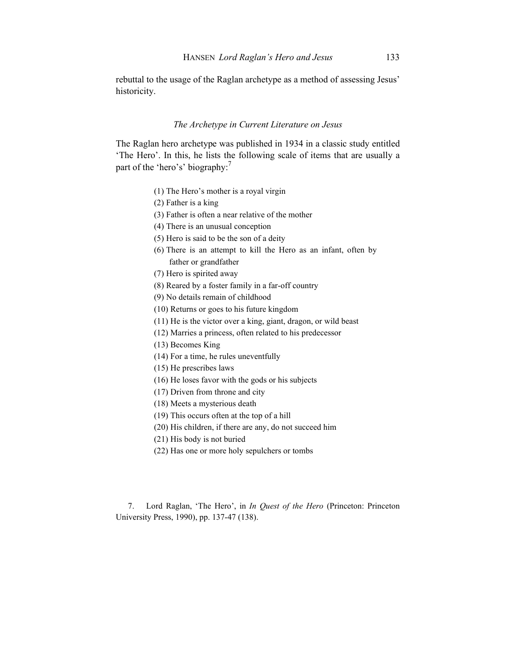rebuttal to the usage of the Raglan archetype as a method of assessing Jesus' historicity.

### *The Archetype in Current Literature on Jesus*

The Raglan hero archetype was published in 1934 in a classic study entitled 'The Hero'. In this, he lists the following scale of items that are usually a part of the 'hero's' biography:<sup>7</sup>

- (1) The Hero's mother is a royal virgin
- (2) Father is a king
- (3) Father is often a near relative of the mother
- (4) There is an unusual conception
- (5) Hero is said to be the son of a deity
- (6) There is an attempt to kill the Hero as an infant, often by father or grandfather
- (7) Hero is spirited away
- (8) Reared by a foster family in a far-off country
- (9) No details remain of childhood
- (10) Returns or goes to his future kingdom
- (11) He is the victor over a king, giant, dragon, or wild beast
- (12) Marries a princess, often related to his predecessor
- (13) Becomes King
- (14) For a time, he rules uneventfully
- (15) He prescribes laws
- (16) He loses favor with the gods or his subjects
- (17) Driven from throne and city
- (18) Meets a mysterious death
- (19) This occurs often at the top of a hill
- (20) His children, if there are any, do not succeed him
- (21) His body is not buried
- (22) Has one or more holy sepulchers or tombs

7. Lord Raglan, 'The Hero', in *In Quest of the Hero* (Princeton: Princeton University Press, 1990), pp. 137-47 (138).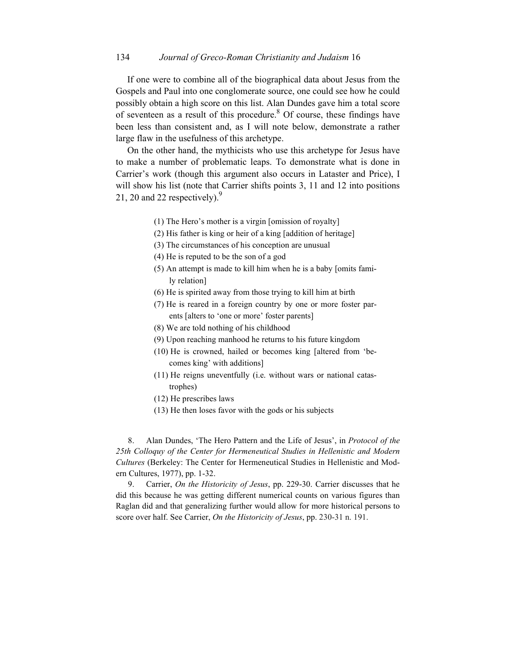If one were to combine all of the biographical data about Jesus from the Gospels and Paul into one conglomerate source, one could see how he could possibly obtain a high score on this list. Alan Dundes gave him a total score of seventeen as a result of this procedure.<sup>8</sup> Of course, these findings have been less than consistent and, as I will note below, demonstrate a rather large flaw in the usefulness of this archetype.

 On the other hand, the mythicists who use this archetype for Jesus have to make a number of problematic leaps. To demonstrate what is done in Carrier's work (though this argument also occurs in Lataster and Price), I will show his list (note that Carrier shifts points 3, 11 and 12 into positions 21, 20 and 22 respectively). $9^9$ 

- (1) The Hero's mother is a virgin [omission of royalty]
- (2) His father is king or heir of a king [addition of heritage]
- (3) The circumstances of his conception are unusual
- (4) He is reputed to be the son of a god
- (5) An attempt is made to kill him when he is a baby [omits family relation]
- (6) He is spirited away from those trying to kill him at birth
- (7) He is reared in a foreign country by one or more foster parents [alters to 'one or more' foster parents]
- (8) We are told nothing of his childhood
- (9) Upon reaching manhood he returns to his future kingdom
- (10) He is crowned, hailed or becomes king [altered from 'becomes king' with additions]
- (11) He reigns uneventfully (i.e. without wars or national catastrophes)
- (12) He prescribes laws
- (13) He then loses favor with the gods or his subjects

8. Alan Dundes, 'The Hero Pattern and the Life of Jesus', in *Protocol of the 25th Colloquy of the Center for Hermeneutical Studies in Hellenistic and Modern Cultures* (Berkeley: The Center for Hermeneutical Studies in Hellenistic and Modern Cultures, 1977), pp. 1-32.

9. Carrier, *On the Historicity of Jesus*, pp. 229-30. Carrier discusses that he did this because he was getting different numerical counts on various figures than Raglan did and that generalizing further would allow for more historical persons to score over half. See Carrier, *On the Historicity of Jesus*, pp. 230-31 n. 191.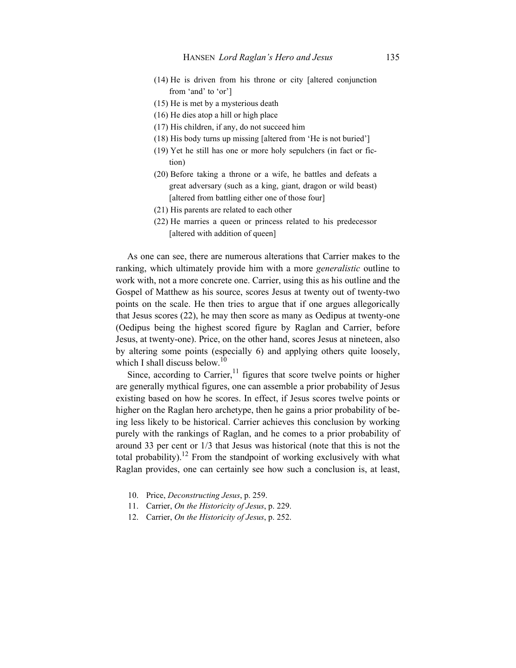- (14) He is driven from his throne or city [altered conjunction from 'and' to 'or']
- (15) He is met by a mysterious death
- (16) He dies atop a hill or high place
- (17) His children, if any, do not succeed him
- (18) His body turns up missing [altered from 'He is not buried']
- (19) Yet he still has one or more holy sepulchers (in fact or fiction)
- (20) Before taking a throne or a wife, he battles and defeats a great adversary (such as a king, giant, dragon or wild beast) [altered from battling either one of those four]
- (21) His parents are related to each other
- (22) He marries a queen or princess related to his predecessor [altered with addition of queen]

As one can see, there are numerous alterations that Carrier makes to the ranking, which ultimately provide him with a more *generalistic* outline to work with, not a more concrete one. Carrier, using this as his outline and the Gospel of Matthew as his source, scores Jesus at twenty out of twenty-two points on the scale. He then tries to argue that if one argues allegorically that Jesus scores (22), he may then score as many as Oedipus at twenty-one (Oedipus being the highest scored figure by Raglan and Carrier, before Jesus, at twenty-one). Price, on the other hand, scores Jesus at nineteen, also by altering some points (especially 6) and applying others quite loosely, which I shall discuss below.<sup>10</sup>

Since, according to Carrier, $<sup>11</sup>$  figures that score twelve points or higher</sup> are generally mythical figures, one can assemble a prior probability of Jesus existing based on how he scores. In effect, if Jesus scores twelve points or higher on the Raglan hero archetype, then he gains a prior probability of being less likely to be historical. Carrier achieves this conclusion by working purely with the rankings of Raglan, and he comes to a prior probability of around 33 per cent or 1/3 that Jesus was historical (note that this is not the total probability).<sup>12</sup> From the standpoint of working exclusively with what Raglan provides, one can certainly see how such a conclusion is, at least,

- 10. Price, *Deconstructing Jesus*, p. 259.
- 11. Carrier, *On the Historicity of Jesus*, p. 229.
- 12. Carrier, *On the Historicity of Jesus*, p. 252.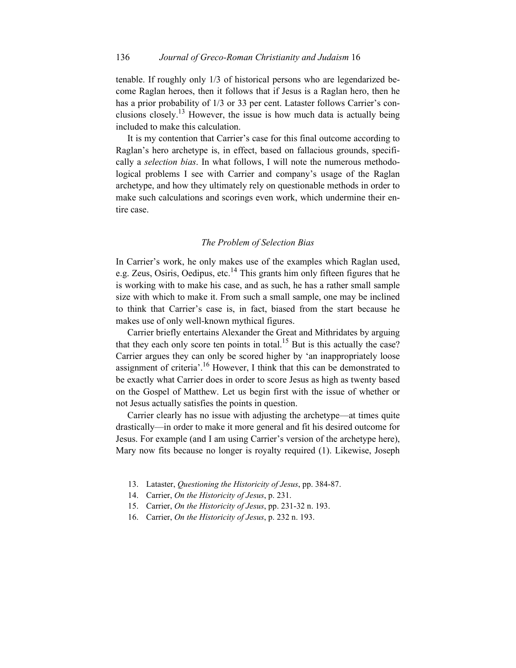tenable. If roughly only 1/3 of historical persons who are legendarized become Raglan heroes, then it follows that if Jesus is a Raglan hero, then he has a prior probability of 1/3 or 33 per cent. Lataster follows Carrier's conclusions closely.<sup>13</sup> However, the issue is how much data is actually being included to make this calculation.

 It is my contention that Carrier's case for this final outcome according to Raglan's hero archetype is, in effect, based on fallacious grounds, specifically a *selection bias*. In what follows, I will note the numerous methodological problems I see with Carrier and company's usage of the Raglan archetype, and how they ultimately rely on questionable methods in order to make such calculations and scorings even work, which undermine their entire case.

#### *The Problem of Selection Bias*

In Carrier's work, he only makes use of the examples which Raglan used, e.g. Zeus, Osiris, Oedipus, etc.<sup>14</sup> This grants him only fifteen figures that he is working with to make his case, and as such, he has a rather small sample size with which to make it. From such a small sample, one may be inclined to think that Carrier's case is, in fact, biased from the start because he makes use of only well-known mythical figures.

 Carrier briefly entertains Alexander the Great and Mithridates by arguing that they each only score ten points in total.<sup>15</sup> But is this actually the case? Carrier argues they can only be scored higher by 'an inappropriately loose assignment of criteria'.<sup>16</sup> However, I think that this can be demonstrated to be exactly what Carrier does in order to score Jesus as high as twenty based on the Gospel of Matthew. Let us begin first with the issue of whether or not Jesus actually satisfies the points in question.

 Carrier clearly has no issue with adjusting the archetype—at times quite drastically—in order to make it more general and fit his desired outcome for Jesus. For example (and I am using Carrier's version of the archetype here), Mary now fits because no longer is royalty required (1). Likewise, Joseph

- 13. Lataster, *Questioning the Historicity of Jesus*, pp. 384-87.
- 14. Carrier, *On the Historicity of Jesus*, p. 231.
- 15. Carrier, *On the Historicity of Jesus*, pp. 231-32 n. 193.
- 16. Carrier, *On the Historicity of Jesus*, p. 232 n. 193.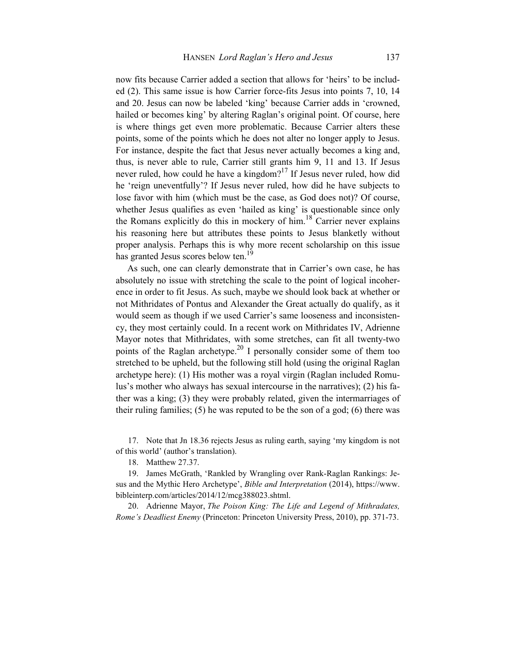now fits because Carrier added a section that allows for 'heirs' to be included (2). This same issue is how Carrier force-fits Jesus into points 7, 10, 14 and 20. Jesus can now be labeled 'king' because Carrier adds in 'crowned, hailed or becomes king' by altering Raglan's original point. Of course, here is where things get even more problematic. Because Carrier alters these points, some of the points which he does not alter no longer apply to Jesus. For instance, despite the fact that Jesus never actually becomes a king and, thus, is never able to rule, Carrier still grants him 9, 11 and 13. If Jesus never ruled, how could he have a kingdom?<sup>17</sup> If Jesus never ruled, how did he 'reign uneventfully'? If Jesus never ruled, how did he have subjects to lose favor with him (which must be the case, as God does not)? Of course, whether Jesus qualifies as even 'hailed as king' is questionable since only the Romans explicitly do this in mockery of him.<sup>18</sup> Carrier never explains his reasoning here but attributes these points to Jesus blanketly without proper analysis. Perhaps this is why more recent scholarship on this issue has granted Jesus scores below ten.<sup>19</sup>

 As such, one can clearly demonstrate that in Carrier's own case, he has absolutely no issue with stretching the scale to the point of logical incoherence in order to fit Jesus. As such, maybe we should look back at whether or not Mithridates of Pontus and Alexander the Great actually do qualify, as it would seem as though if we used Carrier's same looseness and inconsistency, they most certainly could. In a recent work on Mithridates IV, Adrienne Mayor notes that Mithridates, with some stretches, can fit all twenty-two points of the Raglan archetype.<sup>20</sup> I personally consider some of them too stretched to be upheld, but the following still hold (using the original Raglan archetype here): (1) His mother was a royal virgin (Raglan included Romulus's mother who always has sexual intercourse in the narratives); (2) his father was a king; (3) they were probably related, given the intermarriages of their ruling families; (5) he was reputed to be the son of a god; (6) there was

17. Note that Jn 18.36 rejects Jesus as ruling earth, saying 'my kingdom is not of this world' (author's translation).

18. Matthew 27.37.

19. James McGrath, 'Rankled by Wrangling over Rank-Raglan Rankings: Jesus and the Mythic Hero Archetype', *Bible and Interpretation* (2014), https://www. bibleinterp.com/articles/2014/12/mcg388023.shtml.

20. Adrienne Mayor, *The Poison King: The Life and Legend of Mithradates, Rome's Deadliest Enemy* (Princeton: Princeton University Press, 2010), pp. 371-73.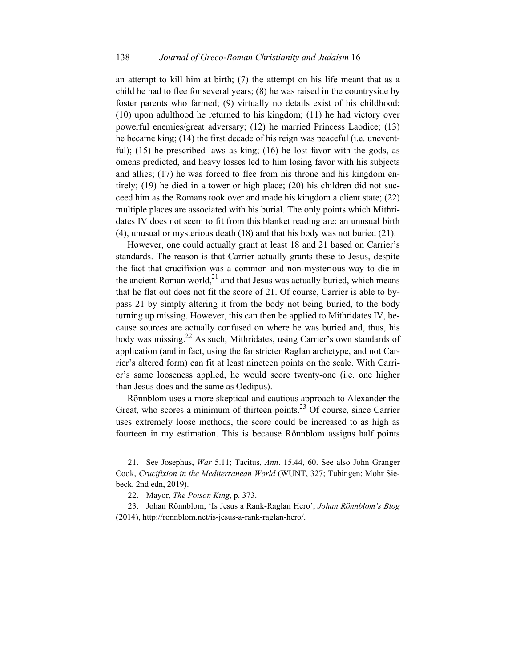an attempt to kill him at birth; (7) the attempt on his life meant that as a child he had to flee for several years; (8) he was raised in the countryside by foster parents who farmed; (9) virtually no details exist of his childhood; (10) upon adulthood he returned to his kingdom; (11) he had victory over powerful enemies/great adversary; (12) he married Princess Laodice; (13) he became king; (14) the first decade of his reign was peaceful (i.e. uneventful); (15) he prescribed laws as king; (16) he lost favor with the gods, as omens predicted, and heavy losses led to him losing favor with his subjects and allies; (17) he was forced to flee from his throne and his kingdom entirely; (19) he died in a tower or high place; (20) his children did not succeed him as the Romans took over and made his kingdom a client state; (22) multiple places are associated with his burial. The only points which Mithridates IV does not seem to fit from this blanket reading are: an unusual birth (4), unusual or mysterious death (18) and that his body was not buried (21).

 However, one could actually grant at least 18 and 21 based on Carrier's standards. The reason is that Carrier actually grants these to Jesus, despite the fact that crucifixion was a common and non-mysterious way to die in the ancient Roman world, $^{21}$  and that Jesus was actually buried, which means that he flat out does not fit the score of 21. Of course, Carrier is able to bypass 21 by simply altering it from the body not being buried, to the body turning up missing. However, this can then be applied to Mithridates IV, because sources are actually confused on where he was buried and, thus, his body was missing.<sup>22</sup> As such, Mithridates, using Carrier's own standards of application (and in fact, using the far stricter Raglan archetype, and not Carrier's altered form) can fit at least nineteen points on the scale. With Carrier's same looseness applied, he would score twenty-one (i.e. one higher than Jesus does and the same as Oedipus).

 Rönnblom uses a more skeptical and cautious approach to Alexander the Great, who scores a minimum of thirteen points.<sup>23</sup> Of course, since Carrier uses extremely loose methods, the score could be increased to as high as fourteen in my estimation. This is because Rönnblom assigns half points

21. See Josephus, *War* 5.11; Tacitus, *Ann*. 15.44, 60. See also John Granger Cook, *Crucifixion in the Mediterranean World* (WUNT, 327; Tubingen: Mohr Siebeck, 2nd edn, 2019).

22. Mayor, *The Poison King*, p. 373.

23. Johan Rönnblom, 'Is Jesus a Rank-Raglan Hero', *Johan Rönnblom's Blog*  (2014), http://ronnblom.net/is-jesus-a-rank-raglan-hero/.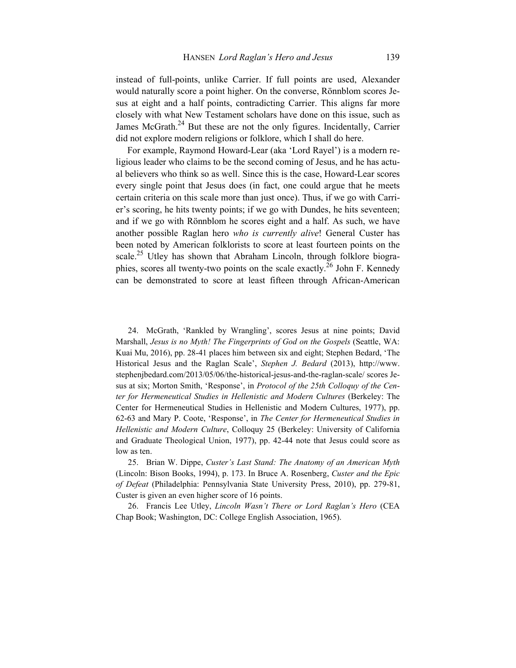instead of full-points, unlike Carrier. If full points are used, Alexander would naturally score a point higher. On the converse, Rönnblom scores Jesus at eight and a half points, contradicting Carrier. This aligns far more closely with what New Testament scholars have done on this issue, such as James McGrath. $^{24}$  But these are not the only figures. Incidentally, Carrier did not explore modern religions or folklore, which I shall do here.

 For example, Raymond Howard-Lear (aka 'Lord Rayel') is a modern religious leader who claims to be the second coming of Jesus, and he has actual believers who think so as well. Since this is the case, Howard-Lear scores every single point that Jesus does (in fact, one could argue that he meets certain criteria on this scale more than just once). Thus, if we go with Carrier's scoring, he hits twenty points; if we go with Dundes, he hits seventeen; and if we go with Rönnblom he scores eight and a half. As such, we have another possible Raglan hero *who is currently alive*! General Custer has been noted by American folklorists to score at least fourteen points on the scale.<sup>25</sup> Utley has shown that Abraham Lincoln, through folklore biographies, scores all twenty-two points on the scale exactly.<sup>26</sup> John F. Kennedy can be demonstrated to score at least fifteen through African-American

24. McGrath, 'Rankled by Wrangling', scores Jesus at nine points; David Marshall, *Jesus is no Myth! The Fingerprints of God on the Gospels* (Seattle, WA: Kuai Mu, 2016), pp. 28-41 places him between six and eight; Stephen Bedard, 'The Historical Jesus and the Raglan Scale', *Stephen J. Bedard* (2013), http://www. stephenjbedard.com/2013/05/06/the-historical-jesus-and-the-raglan-scale/ scores Jesus at six; Morton Smith, 'Response', in *Protocol of the 25th Colloquy of the Center for Hermeneutical Studies in Hellenistic and Modern Cultures* (Berkeley: The Center for Hermeneutical Studies in Hellenistic and Modern Cultures, 1977), pp. 62-63 and Mary P. Coote, 'Response', in *The Center for Hermeneutical Studies in Hellenistic and Modern Culture*, Colloquy 25 (Berkeley: University of California and Graduate Theological Union, 1977), pp. 42-44 note that Jesus could score as low as ten.

25. Brian W. Dippe, *Custer's Last Stand: The Anatomy of an American Myth*  (Lincoln: Bison Books, 1994), p. 173. In Bruce A. Rosenberg, *Custer and the Epic of Defeat* (Philadelphia: Pennsylvania State University Press, 2010), pp. 279-81, Custer is given an even higher score of 16 points.

26. Francis Lee Utley, *Lincoln Wasn't There or Lord Raglan's Hero* (CEA Chap Book; Washington, DC: College English Association, 1965).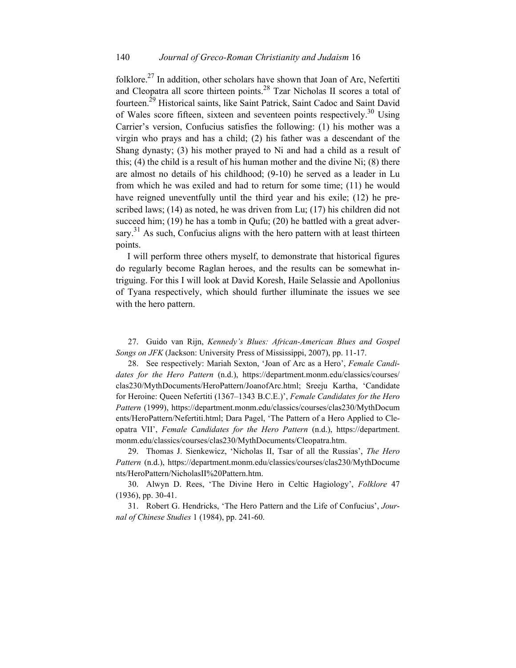folklore.<sup>27</sup> In addition, other scholars have shown that Joan of Arc, Nefertiti and Cleopatra all score thirteen points.28 Tzar Nicholas II scores a total of fourteen.29 Historical saints, like Saint Patrick, Saint Cadoc and Saint David of Wales score fifteen, sixteen and seventeen points respectively.<sup>30</sup> Using Carrier's version, Confucius satisfies the following: (1) his mother was a virgin who prays and has a child; (2) his father was a descendant of the Shang dynasty; (3) his mother prayed to Ni and had a child as a result of this; (4) the child is a result of his human mother and the divine Ni; (8) there are almost no details of his childhood; (9-10) he served as a leader in Lu from which he was exiled and had to return for some time; (11) he would have reigned uneventfully until the third year and his exile; (12) he prescribed laws; (14) as noted, he was driven from Lu; (17) his children did not succeed him; (19) he has a tomb in Qufu; (20) he battled with a great adversary.<sup>31</sup> As such, Confucius aligns with the hero pattern with at least thirteen points.

 I will perform three others myself, to demonstrate that historical figures do regularly become Raglan heroes, and the results can be somewhat intriguing. For this I will look at David Koresh, Haile Selassie and Apollonius of Tyana respectively, which should further illuminate the issues we see with the hero pattern.

27. Guido van Rijn, *Kennedy's Blues: African-American Blues and Gospel Songs on JFK* (Jackson: University Press of Mississippi, 2007), pp. 11-17.

28. See respectively: Mariah Sexton, 'Joan of Arc as a Hero', *Female Candidates for the Hero Pattern* (n.d.), https://department.monm.edu/classics/courses/ clas230/MythDocuments/HeroPattern/JoanofArc.html; Sreeju Kartha, 'Candidate for Heroine: Queen Nefertiti (1367–1343 B.C.E.)', *Female Candidates for the Hero Pattern* (1999), https://department.monm.edu/classics/courses/clas230/MythDocum ents/HeroPattern/Nefertiti.html; Dara Pagel, 'The Pattern of a Hero Applied to Cleopatra VII', *Female Candidates for the Hero Pattern* (n.d.), https://department. monm.edu/classics/courses/clas230/MythDocuments/Cleopatra.htm.

29. Thomas J. Sienkewicz, 'Nicholas II, Tsar of all the Russias', *The Hero Pattern* (n.d.), https://department.monm.edu/classics/courses/clas230/MythDocume nts/HeroPattern/NicholasII%20Pattern.htm.

30. Alwyn D. Rees, 'The Divine Hero in Celtic Hagiology', *Folklore* 47 (1936), pp. 30-41.

31. Robert G. Hendricks, 'The Hero Pattern and the Life of Confucius', *Journal of Chinese Studies* 1 (1984), pp. 241-60.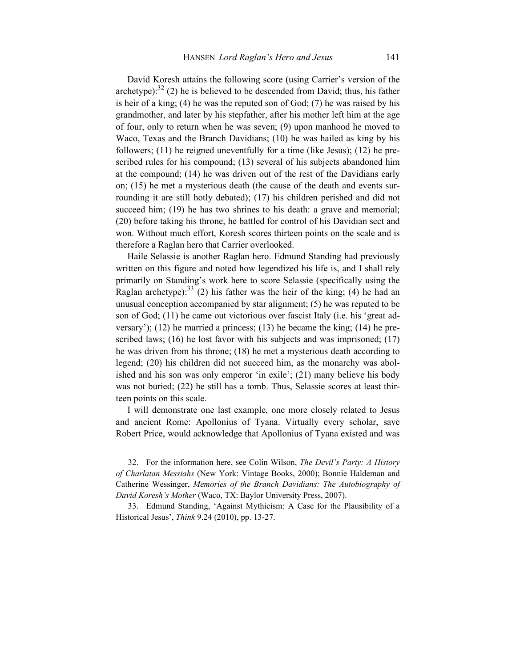David Koresh attains the following score (using Carrier's version of the archetype): $^{32}$  (2) he is believed to be descended from David; thus, his father is heir of a king; (4) he was the reputed son of God; (7) he was raised by his grandmother, and later by his stepfather, after his mother left him at the age of four, only to return when he was seven; (9) upon manhood he moved to Waco, Texas and the Branch Davidians; (10) he was hailed as king by his followers; (11) he reigned uneventfully for a time (like Jesus); (12) he prescribed rules for his compound; (13) several of his subjects abandoned him at the compound; (14) he was driven out of the rest of the Davidians early on; (15) he met a mysterious death (the cause of the death and events surrounding it are still hotly debated); (17) his children perished and did not succeed him; (19) he has two shrines to his death: a grave and memorial; (20) before taking his throne, he battled for control of his Davidian sect and won. Without much effort, Koresh scores thirteen points on the scale and is therefore a Raglan hero that Carrier overlooked.

 Haile Selassie is another Raglan hero. Edmund Standing had previously written on this figure and noted how legendized his life is, and I shall rely primarily on Standing's work here to score Selassie (specifically using the Raglan archetype):<sup>33</sup> (2) his father was the heir of the king; (4) he had an unusual conception accompanied by star alignment; (5) he was reputed to be son of God; (11) he came out victorious over fascist Italy (i.e. his 'great adversary'); (12) he married a princess; (13) he became the king; (14) he prescribed laws; (16) he lost favor with his subjects and was imprisoned; (17) he was driven from his throne; (18) he met a mysterious death according to legend; (20) his children did not succeed him, as the monarchy was abolished and his son was only emperor 'in exile'; (21) many believe his body was not buried; (22) he still has a tomb. Thus, Selassie scores at least thirteen points on this scale.

 I will demonstrate one last example, one more closely related to Jesus and ancient Rome: Apollonius of Tyana. Virtually every scholar, save Robert Price, would acknowledge that Apollonius of Tyana existed and was

32. For the information here, see Colin Wilson, *The Devil's Party: A History of Charlatan Messiahs* (New York: Vintage Books, 2000); Bonnie Haldeman and Catherine Wessinger, *Memories of the Branch Davidians: The Autobiography of David Koresh's Mother* (Waco, TX: Baylor University Press, 2007).

33. Edmund Standing, 'Against Mythicism: A Case for the Plausibility of a Historical Jesus', *Think* 9.24 (2010), pp. 13-27.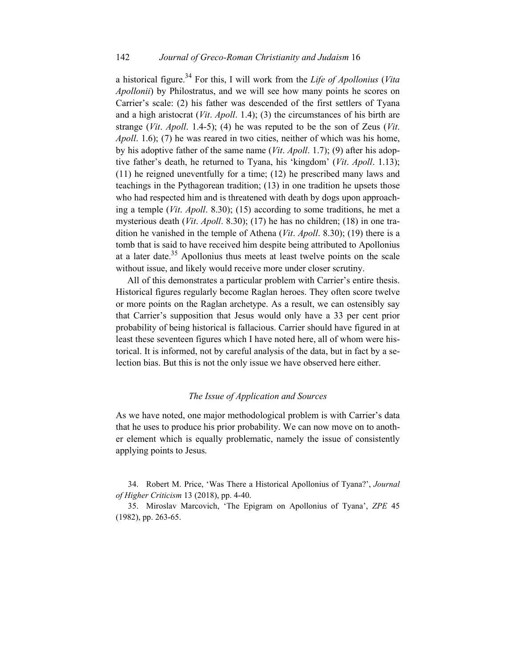a historical figure.34 For this, I will work from the *Life of Apollonius* (*Vita Apollonii*) by Philostratus, and we will see how many points he scores on Carrier's scale: (2) his father was descended of the first settlers of Tyana and a high aristocrat (*Vit*. *Apoll*. 1.4); (3) the circumstances of his birth are strange (*Vit*. *Apoll*. 1.4-5); (4) he was reputed to be the son of Zeus (*Vit*. *Apoll*. 1.6); (7) he was reared in two cities, neither of which was his home, by his adoptive father of the same name (*Vit*. *Apoll*. 1.7); (9) after his adoptive father's death, he returned to Tyana, his 'kingdom' (*Vit*. *Apoll*. 1.13); (11) he reigned uneventfully for a time; (12) he prescribed many laws and teachings in the Pythagorean tradition; (13) in one tradition he upsets those who had respected him and is threatened with death by dogs upon approaching a temple (*Vit*. *Apoll*. 8.30); (15) according to some traditions, he met a mysterious death (*Vit*. *Apoll*. 8.30); (17) he has no children; (18) in one tradition he vanished in the temple of Athena (*Vit*. *Apoll*. 8.30); (19) there is a tomb that is said to have received him despite being attributed to Apollonius at a later date.<sup>35</sup> Apollonius thus meets at least twelve points on the scale without issue, and likely would receive more under closer scrutiny.

 All of this demonstrates a particular problem with Carrier's entire thesis. Historical figures regularly become Raglan heroes. They often score twelve or more points on the Raglan archetype. As a result, we can ostensibly say that Carrier's supposition that Jesus would only have a 33 per cent prior probability of being historical is fallacious. Carrier should have figured in at least these seventeen figures which I have noted here, all of whom were historical. It is informed, not by careful analysis of the data, but in fact by a selection bias. But this is not the only issue we have observed here either.

### *The Issue of Application and Sources*

As we have noted, one major methodological problem is with Carrier's data that he uses to produce his prior probability. We can now move on to another element which is equally problematic, namely the issue of consistently applying points to Jesus.

34. Robert M. Price, 'Was There a Historical Apollonius of Tyana?', *Journal of Higher Criticism* 13 (2018), pp. 4-40.

35. Miroslav Marcovich, 'The Epigram on Apollonius of Tyana', *ZPE* 45 (1982), pp. 263-65.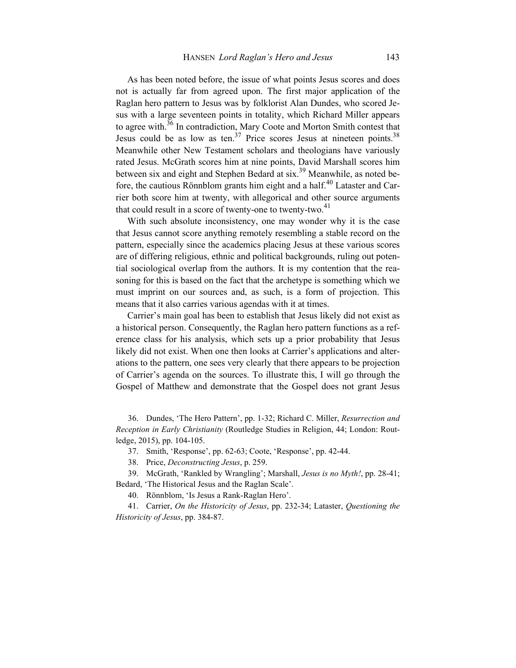As has been noted before, the issue of what points Jesus scores and does not is actually far from agreed upon. The first major application of the Raglan hero pattern to Jesus was by folklorist Alan Dundes, who scored Jesus with a large seventeen points in totality, which Richard Miller appears to agree with.<sup>36</sup> In contradiction, Mary Coote and Morton Smith contest that Jesus could be as low as ten.<sup>37</sup> Price scores Jesus at nineteen points.<sup>38</sup> Meanwhile other New Testament scholars and theologians have variously rated Jesus. McGrath scores him at nine points, David Marshall scores him between six and eight and Stephen Bedard at six.<sup>39</sup> Meanwhile, as noted before, the cautious Rönnblom grants him eight and a half.<sup>40</sup> Lataster and Carrier both score him at twenty, with allegorical and other source arguments that could result in a score of twenty-one to twenty-two.<sup>41</sup>

 With such absolute inconsistency, one may wonder why it is the case that Jesus cannot score anything remotely resembling a stable record on the pattern, especially since the academics placing Jesus at these various scores are of differing religious, ethnic and political backgrounds, ruling out potential sociological overlap from the authors. It is my contention that the reasoning for this is based on the fact that the archetype is something which we must imprint on our sources and, as such, is a form of projection. This means that it also carries various agendas with it at times.

 Carrier's main goal has been to establish that Jesus likely did not exist as a historical person. Consequently, the Raglan hero pattern functions as a reference class for his analysis, which sets up a prior probability that Jesus likely did not exist. When one then looks at Carrier's applications and alterations to the pattern, one sees very clearly that there appears to be projection of Carrier's agenda on the sources. To illustrate this, I will go through the Gospel of Matthew and demonstrate that the Gospel does not grant Jesus

36. Dundes, 'The Hero Pattern', pp. 1-32; Richard C. Miller, *Resurrection and Reception in Early Christianity* (Routledge Studies in Religion, 44; London: Routledge, 2015), pp. 104-105.

37. Smith, 'Response', pp. 62-63; Coote, 'Response', pp. 42-44.

38. Price, *Deconstructing Jesus*, p. 259.

39. McGrath, 'Rankled by Wrangling'; Marshall, *Jesus is no Myth!*, pp. 28-41; Bedard, 'The Historical Jesus and the Raglan Scale'.

40. Rönnblom, 'Is Jesus a Rank-Raglan Hero'.

41. Carrier, *On the Historicity of Jesus*, pp. 232-34; Lataster, *Questioning the Historicity of Jesus*, pp. 384-87.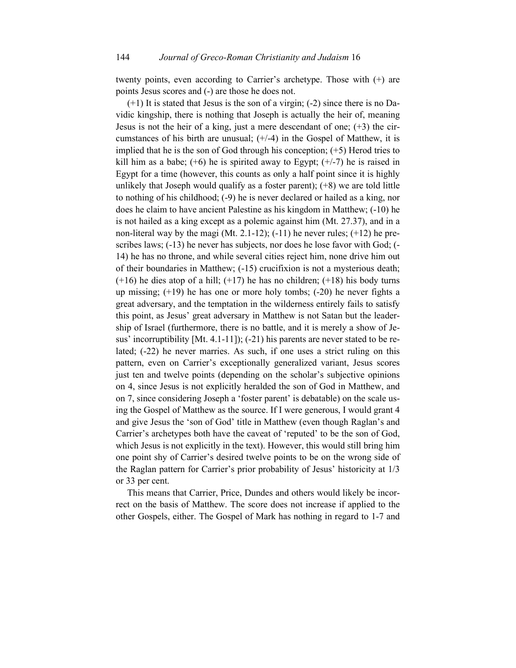twenty points, even according to Carrier's archetype. Those with (+) are points Jesus scores and (-) are those he does not.

(+1) It is stated that Jesus is the son of a virgin; (-2) since there is no Davidic kingship, there is nothing that Joseph is actually the heir of, meaning Jesus is not the heir of a king, just a mere descendant of one;  $(+3)$  the circumstances of his birth are unusual; (+/-4) in the Gospel of Matthew, it is implied that he is the son of God through his conception; (+5) Herod tries to kill him as a babe;  $(+6)$  he is spirited away to Egypt;  $(+/-7)$  he is raised in Egypt for a time (however, this counts as only a half point since it is highly unlikely that Joseph would qualify as a foster parent);  $(+8)$  we are told little to nothing of his childhood; (-9) he is never declared or hailed as a king, nor does he claim to have ancient Palestine as his kingdom in Matthew; (-10) he is not hailed as a king except as a polemic against him (Mt. 27.37), and in a non-literal way by the magi (Mt. 2.1-12);  $(-11)$  he never rules;  $(+12)$  he prescribes laws; (-13) he never has subjects, nor does he lose favor with God; (- 14) he has no throne, and while several cities reject him, none drive him out of their boundaries in Matthew; (-15) crucifixion is not a mysterious death;  $(+16)$  he dies atop of a hill;  $(+17)$  he has no children;  $(+18)$  his body turns up missing; (+19) he has one or more holy tombs; (-20) he never fights a great adversary, and the temptation in the wilderness entirely fails to satisfy this point, as Jesus' great adversary in Matthew is not Satan but the leadership of Israel (furthermore, there is no battle, and it is merely a show of Jesus' incorruptibility [Mt. 4.1-11]); (-21) his parents are never stated to be related; (-22) he never marries. As such, if one uses a strict ruling on this pattern, even on Carrier's exceptionally generalized variant, Jesus scores just ten and twelve points (depending on the scholar's subjective opinions on 4, since Jesus is not explicitly heralded the son of God in Matthew, and on 7, since considering Joseph a 'foster parent' is debatable) on the scale using the Gospel of Matthew as the source. If I were generous, I would grant 4 and give Jesus the 'son of God' title in Matthew (even though Raglan's and Carrier's archetypes both have the caveat of 'reputed' to be the son of God, which Jesus is not explicitly in the text). However, this would still bring him one point shy of Carrier's desired twelve points to be on the wrong side of the Raglan pattern for Carrier's prior probability of Jesus' historicity at 1/3 or 33 per cent.

This means that Carrier, Price, Dundes and others would likely be incorrect on the basis of Matthew. The score does not increase if applied to the other Gospels, either. The Gospel of Mark has nothing in regard to 1-7 and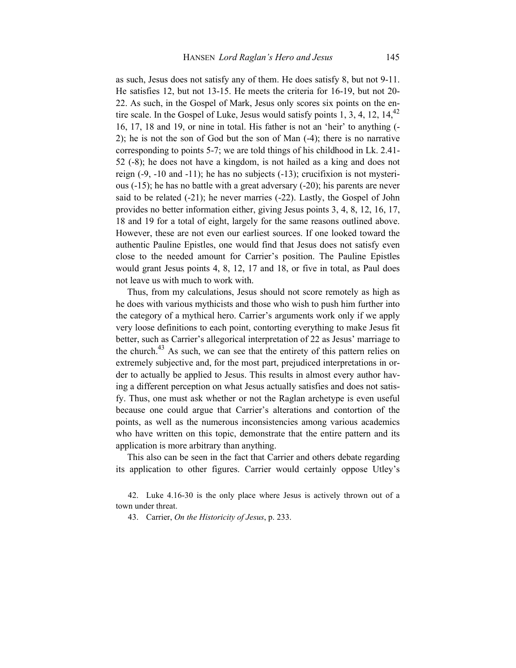as such, Jesus does not satisfy any of them. He does satisfy 8, but not 9-11. He satisfies 12, but not 13-15. He meets the criteria for 16-19, but not 20- 22. As such, in the Gospel of Mark, Jesus only scores six points on the entire scale. In the Gospel of Luke, Jesus would satisfy points  $1, 3, 4, 12, 14, 42$ 16, 17, 18 and 19, or nine in total. His father is not an 'heir' to anything (- 2); he is not the son of God but the son of Man (-4); there is no narrative corresponding to points 5-7; we are told things of his childhood in Lk. 2.41- 52 (-8); he does not have a kingdom, is not hailed as a king and does not reign (-9, -10 and -11); he has no subjects (-13); crucifixion is not mysterious (-15); he has no battle with a great adversary (-20); his parents are never said to be related (-21); he never marries (-22). Lastly, the Gospel of John provides no better information either, giving Jesus points 3, 4, 8, 12, 16, 17, 18 and 19 for a total of eight, largely for the same reasons outlined above. However, these are not even our earliest sources. If one looked toward the authentic Pauline Epistles, one would find that Jesus does not satisfy even close to the needed amount for Carrier's position. The Pauline Epistles would grant Jesus points 4, 8, 12, 17 and 18, or five in total, as Paul does not leave us with much to work with.

Thus, from my calculations, Jesus should not score remotely as high as he does with various mythicists and those who wish to push him further into the category of a mythical hero. Carrier's arguments work only if we apply very loose definitions to each point, contorting everything to make Jesus fit better, such as Carrier's allegorical interpretation of 22 as Jesus' marriage to the church.<sup>43</sup> As such, we can see that the entirety of this pattern relies on extremely subjective and, for the most part, prejudiced interpretations in order to actually be applied to Jesus. This results in almost every author having a different perception on what Jesus actually satisfies and does not satisfy. Thus, one must ask whether or not the Raglan archetype is even useful because one could argue that Carrier's alterations and contortion of the points, as well as the numerous inconsistencies among various academics who have written on this topic, demonstrate that the entire pattern and its application is more arbitrary than anything.

This also can be seen in the fact that Carrier and others debate regarding its application to other figures. Carrier would certainly oppose Utley's

42. Luke 4.16-30 is the only place where Jesus is actively thrown out of a town under threat.

43. Carrier, *On the Historicity of Jesus*, p. 233.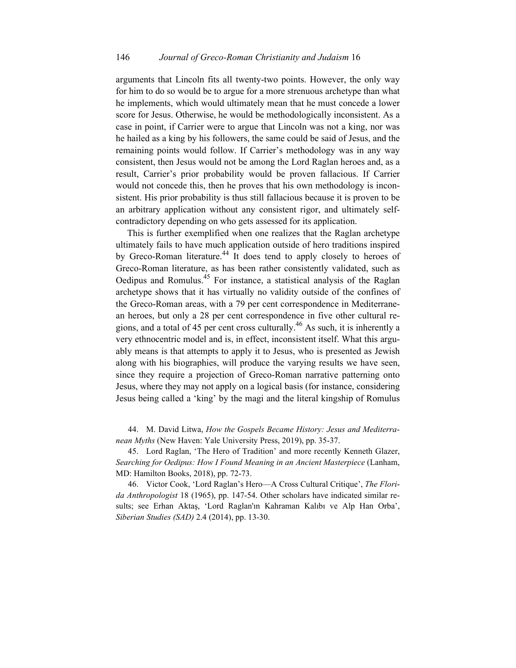arguments that Lincoln fits all twenty-two points. However, the only way for him to do so would be to argue for a more strenuous archetype than what he implements, which would ultimately mean that he must concede a lower score for Jesus. Otherwise, he would be methodologically inconsistent. As a case in point, if Carrier were to argue that Lincoln was not a king, nor was he hailed as a king by his followers, the same could be said of Jesus, and the remaining points would follow. If Carrier's methodology was in any way consistent, then Jesus would not be among the Lord Raglan heroes and, as a result, Carrier's prior probability would be proven fallacious. If Carrier would not concede this, then he proves that his own methodology is inconsistent. His prior probability is thus still fallacious because it is proven to be an arbitrary application without any consistent rigor, and ultimately selfcontradictory depending on who gets assessed for its application.

This is further exemplified when one realizes that the Raglan archetype ultimately fails to have much application outside of hero traditions inspired by Greco-Roman literature.<sup>44</sup> It does tend to apply closely to heroes of Greco-Roman literature, as has been rather consistently validated, such as Oedipus and Romulus.45 For instance, a statistical analysis of the Raglan archetype shows that it has virtually no validity outside of the confines of the Greco-Roman areas, with a 79 per cent correspondence in Mediterranean heroes, but only a 28 per cent correspondence in five other cultural regions, and a total of 45 per cent cross culturally.<sup>46</sup> As such, it is inherently a very ethnocentric model and is, in effect, inconsistent itself. What this arguably means is that attempts to apply it to Jesus, who is presented as Jewish along with his biographies, will produce the varying results we have seen, since they require a projection of Greco-Roman narrative patterning onto Jesus, where they may not apply on a logical basis (for instance, considering Jesus being called a 'king' by the magi and the literal kingship of Romulus

44. M. David Litwa, *How the Gospels Became History: Jesus and Mediterranean Myths* (New Haven: Yale University Press, 2019), pp. 35-37.

45. Lord Raglan, 'The Hero of Tradition' and more recently Kenneth Glazer, *Searching for Oedipus: How I Found Meaning in an Ancient Masterpiece* (Lanham, MD: Hamilton Books, 2018), pp. 72-73.

46. Victor Cook, 'Lord Raglan's Hero—A Cross Cultural Critique', *The Florida Anthropologist* 18 (1965), pp. 147-54. Other scholars have indicated similar results; see Erhan Aktaş, 'Lord Raglan'ın Kahraman Kalıbı ve Alp Han Orba', *Siberian Studies (SAD)* 2.4 (2014), pp. 13-30.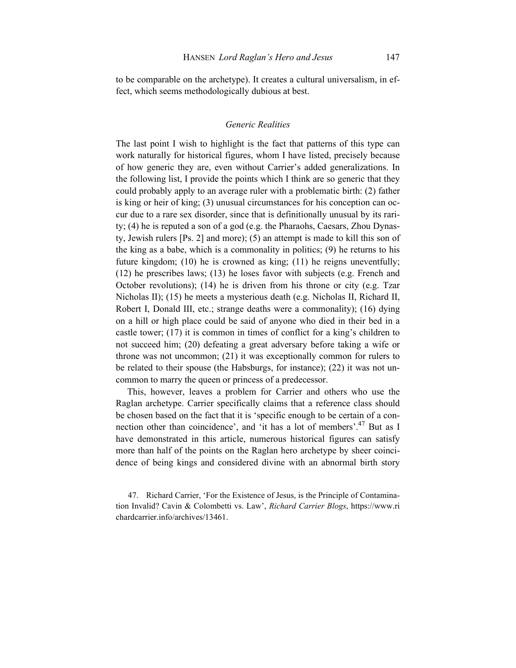to be comparable on the archetype). It creates a cultural universalism, in effect, which seems methodologically dubious at best.

### *Generic Realities*

The last point I wish to highlight is the fact that patterns of this type can work naturally for historical figures, whom I have listed, precisely because of how generic they are, even without Carrier's added generalizations. In the following list, I provide the points which I think are so generic that they could probably apply to an average ruler with a problematic birth: (2) father is king or heir of king; (3) unusual circumstances for his conception can occur due to a rare sex disorder, since that is definitionally unusual by its rarity; (4) he is reputed a son of a god (e.g. the Pharaohs, Caesars, Zhou Dynasty, Jewish rulers [Ps. 2] and more); (5) an attempt is made to kill this son of the king as a babe, which is a commonality in politics; (9) he returns to his future kingdom; (10) he is crowned as king; (11) he reigns uneventfully; (12) he prescribes laws; (13) he loses favor with subjects (e.g. French and October revolutions); (14) he is driven from his throne or city (e.g. Tzar Nicholas II); (15) he meets a mysterious death (e.g. Nicholas II, Richard II, Robert I, Donald III, etc.; strange deaths were a commonality); (16) dying on a hill or high place could be said of anyone who died in their bed in a castle tower; (17) it is common in times of conflict for a king's children to not succeed him; (20) defeating a great adversary before taking a wife or throne was not uncommon; (21) it was exceptionally common for rulers to be related to their spouse (the Habsburgs, for instance); (22) it was not uncommon to marry the queen or princess of a predecessor.

This, however, leaves a problem for Carrier and others who use the Raglan archetype. Carrier specifically claims that a reference class should be chosen based on the fact that it is 'specific enough to be certain of a connection other than coincidence', and 'it has a lot of members'.<sup>47</sup> But as I have demonstrated in this article, numerous historical figures can satisfy more than half of the points on the Raglan hero archetype by sheer coincidence of being kings and considered divine with an abnormal birth story

47. Richard Carrier, 'For the Existence of Jesus, is the Principle of Contamination Invalid? Cavin & Colombetti vs. Law', *Richard Carrier Blogs*, https://www.ri chardcarrier.info/archives/13461.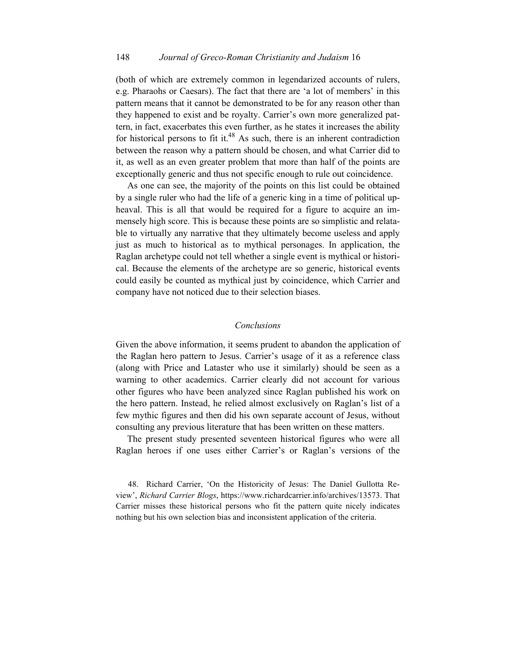(both of which are extremely common in legendarized accounts of rulers, e.g. Pharaohs or Caesars). The fact that there are 'a lot of members' in this pattern means that it cannot be demonstrated to be for any reason other than they happened to exist and be royalty. Carrier's own more generalized pattern, in fact, exacerbates this even further, as he states it increases the ability for historical persons to fit it.<sup>48</sup> As such, there is an inherent contradiction between the reason why a pattern should be chosen, and what Carrier did to it, as well as an even greater problem that more than half of the points are exceptionally generic and thus not specific enough to rule out coincidence.

 As one can see, the majority of the points on this list could be obtained by a single ruler who had the life of a generic king in a time of political upheaval. This is all that would be required for a figure to acquire an immensely high score. This is because these points are so simplistic and relatable to virtually any narrative that they ultimately become useless and apply just as much to historical as to mythical personages. In application, the Raglan archetype could not tell whether a single event is mythical or historical. Because the elements of the archetype are so generic, historical events could easily be counted as mythical just by coincidence, which Carrier and company have not noticed due to their selection biases.

### *Conclusions*

Given the above information, it seems prudent to abandon the application of the Raglan hero pattern to Jesus. Carrier's usage of it as a reference class (along with Price and Lataster who use it similarly) should be seen as a warning to other academics. Carrier clearly did not account for various other figures who have been analyzed since Raglan published his work on the hero pattern. Instead, he relied almost exclusively on Raglan's list of a few mythic figures and then did his own separate account of Jesus, without consulting any previous literature that has been written on these matters.

The present study presented seventeen historical figures who were all Raglan heroes if one uses either Carrier's or Raglan's versions of the

48. Richard Carrier, 'On the Historicity of Jesus: The Daniel Gullotta Review', *Richard Carrier Blogs*, https://www.richardcarrier.info/archives/13573. That Carrier misses these historical persons who fit the pattern quite nicely indicates nothing but his own selection bias and inconsistent application of the criteria.